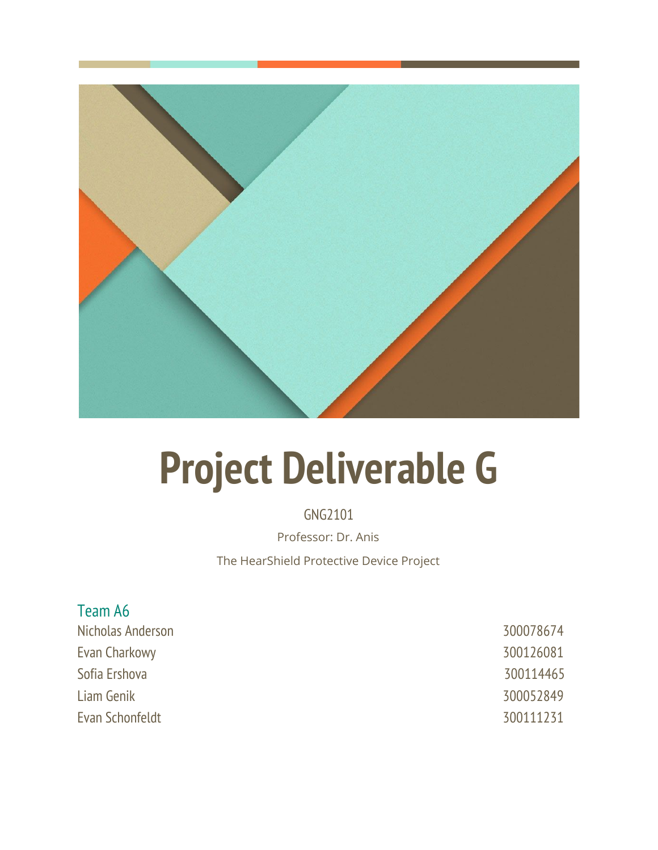

# **Project Deliverable G**

GNG2101 Professor: Dr. Anis The HearShield Protective Device Project

# Team A6

Nicholas Anderson 300078674 Evan Charkowy 300126081 Sofia Ershova 300114465 Liam Genik 300052849 Evan Schonfeldt 300111231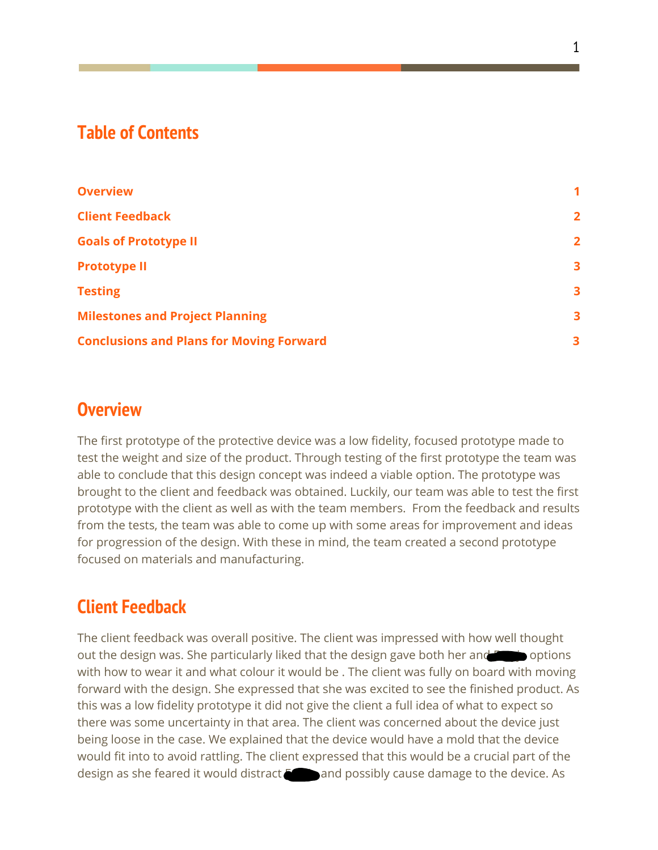# **Table of Contents**

| <b>Overview</b>                                 | 1              |
|-------------------------------------------------|----------------|
| <b>Client Feedback</b>                          | $\overline{2}$ |
| <b>Goals of Prototype II</b>                    | $\overline{2}$ |
| <b>Prototype II</b>                             | 3              |
| <b>Testing</b>                                  | 3              |
| <b>Milestones and Project Planning</b>          | 3              |
| <b>Conclusions and Plans for Moving Forward</b> | 3              |

# <span id="page-1-0"></span>**Overview**

The first prototype of the protective device was a low fidelity, focused prototype made to test the weight and size of the product. Through testing of the first prototype the team was able to conclude that this design concept was indeed a viable option. The prototype was brought to the client and feedback was obtained. Luckily, our team was able to test the first prototype with the client as well as with the team members. From the feedback and results from the tests, the team was able to come up with some areas for improvement and ideas for progression of the design. With these in mind, the team created a second prototype focused on materials and manufacturing.

# <span id="page-1-1"></span>**Client Feedback**

The client feedback was overall positive. The client was impressed with how well thought out the design was. She particularly liked that the design gave both her and Free in options with how to wear it and what colour it would be . The client was fully on board with moving forward with the design. She expressed that she was excited to see the finished product. As this was a low fidelity prototype it did not give the client a full idea of what to expect so there was some uncertainty in that area. The client was concerned about the device just being loose in the case. We explained that the device would have a mold that the device would fit into to avoid rattling. The client expressed that this would be a crucial part of the design as she feared it would distract Freyja and possibly cause damage to the device. As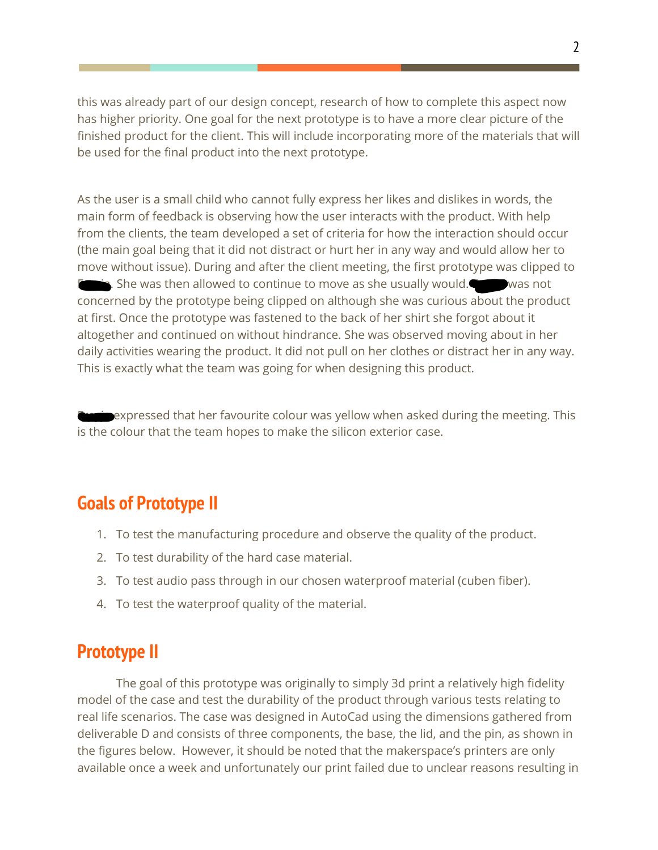this was already part of our design concept, research of how to complete this aspect now has higher priority. One goal for the next prototype is to have a more clear picture of the finished product for the client. This will include incorporating more of the materials that will be used for the final product into the next prototype.

As the user is a small child who cannot fully express her likes and dislikes in words, the main form of feedback is observing how the user interacts with the product. With help from the clients, the team developed a set of criteria for how the interaction should occur (the main goal being that it did not distract or hurt her in any way and would allow her to move without issue). During and after the client meeting, the first prototype was clipped to  $\dot{F}$ , She was then allowed to continue to move as she usually would. Figures was not concerned by the prototype being clipped on although she was curious about the product at first. Once the prototype was fastened to the back of her shirt she forgot about it altogether and continued on without hindrance. She was observed moving about in her daily activities wearing the product. It did not pull on her clothes or distract her in any way. This is exactly what the team was going for when designing this product.

**Fragger** expressed that her favourite colour was yellow when asked during the meeting. This is the colour that the team hopes to make the silicon exterior case.

## <span id="page-2-0"></span>**Goals of Prototype II**

- 1. To test the manufacturing procedure and observe the quality of the product.
- 2. To test durability of the hard case material.
- 3. To test audio pass through in our chosen waterproof material (cuben fiber).
- <span id="page-2-1"></span>4. To test the waterproof quality of the material.

## **Prototype II**

The goal of this prototype was originally to simply 3d print a relatively high fidelity model of the case and test the durability of the product through various tests relating to real life scenarios. The case was designed in AutoCad using the dimensions gathered from deliverable D and consists of three components, the base, the lid, and the pin, as shown in the figures below. However, it should be noted that the makerspace's printers are only available once a week and unfortunately our print failed due to unclear reasons resulting in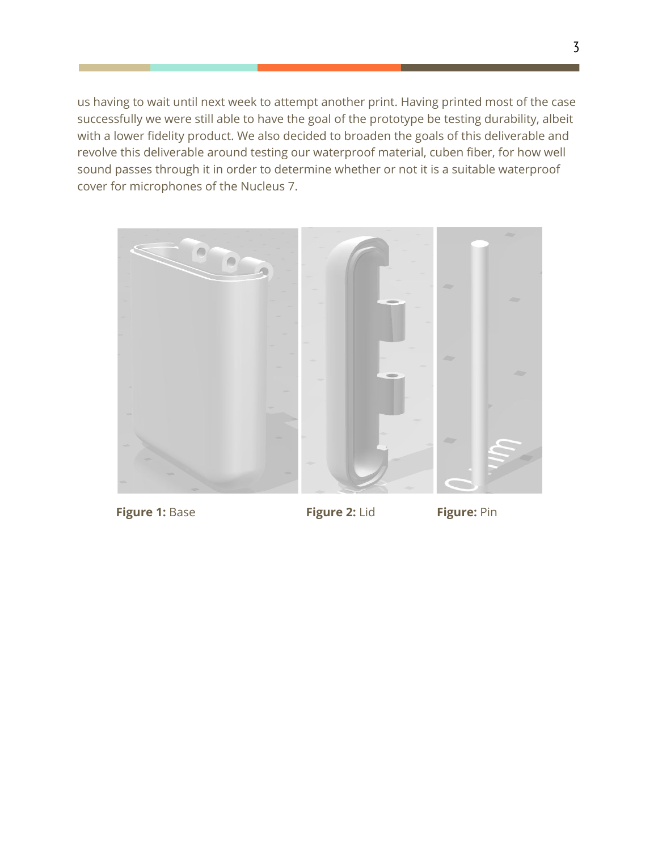us having to wait until next week to attempt another print. Having printed most of the case successfully we were still able to have the goal of the prototype be testing durability, albeit with a lower fidelity product. We also decided to broaden the goals of this deliverable and revolve this deliverable around testing our waterproof material, cuben fiber, for how well sound passes through it in order to determine whether or not it is a suitable waterproof cover for microphones of the Nucleus 7.



**Figure 1:** Base **Figure 2:** Lid **Figure:** Pin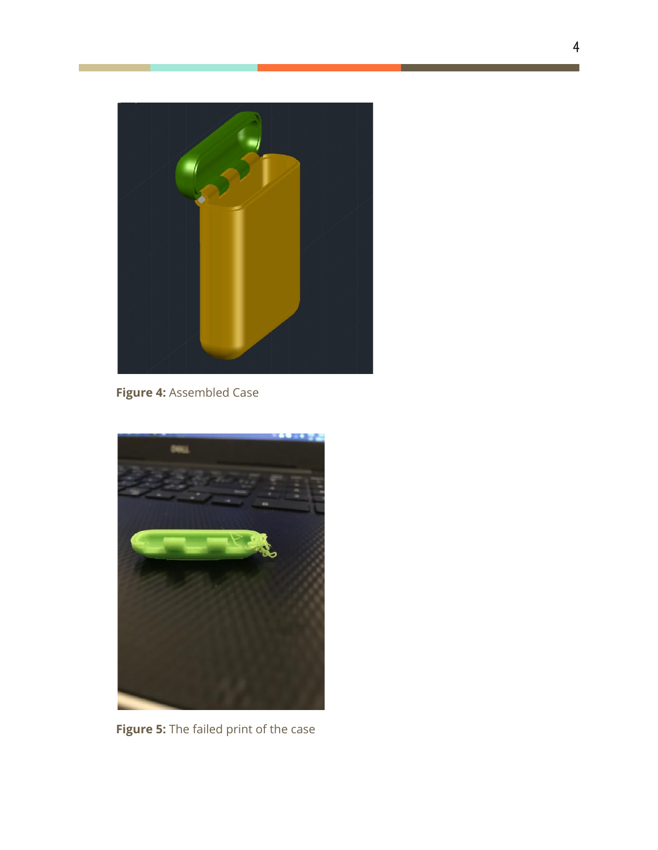

**Figure 4:** Assembled Case



**Figure 5:** The failed print of the case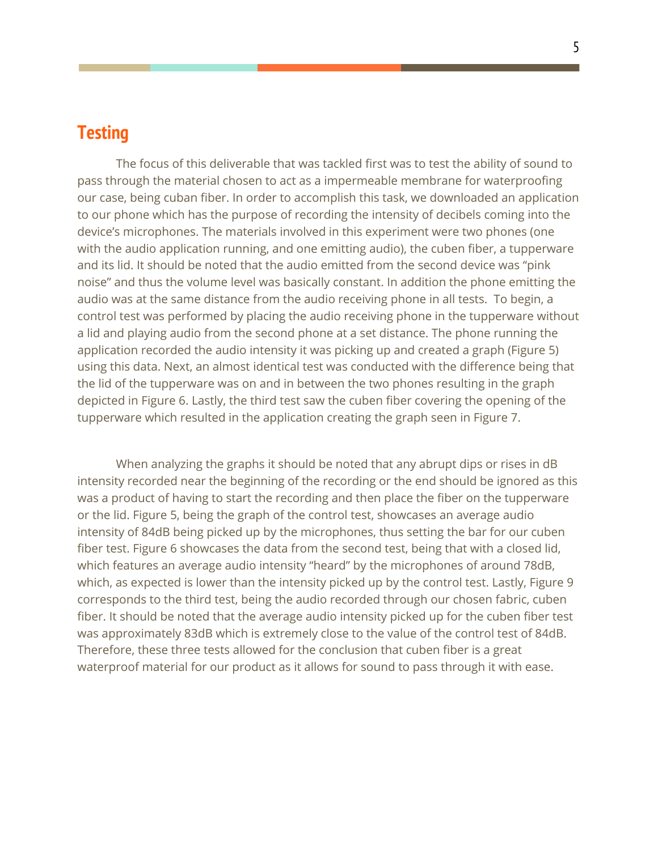# <span id="page-5-0"></span>**Testing**

The focus of this deliverable that was tackled first was to test the ability of sound to pass through the material chosen to act as a impermeable membrane for waterproofing our case, being cuban fiber. In order to accomplish this task, we downloaded an application to our phone which has the purpose of recording the intensity of decibels coming into the device's microphones. The materials involved in this experiment were two phones (one with the audio application running, and one emitting audio), the cuben fiber, a tupperware and its lid. It should be noted that the audio emitted from the second device was "pink noise" and thus the volume level was basically constant. In addition the phone emitting the audio was at the same distance from the audio receiving phone in all tests. To begin, a control test was performed by placing the audio receiving phone in the tupperware without a lid and playing audio from the second phone at a set distance. The phone running the application recorded the audio intensity it was picking up and created a graph (Figure 5) using this data. Next, an almost identical test was conducted with the difference being that the lid of the tupperware was on and in between the two phones resulting in the graph depicted in Figure 6. Lastly, the third test saw the cuben fiber covering the opening of the tupperware which resulted in the application creating the graph seen in Figure 7.

When analyzing the graphs it should be noted that any abrupt dips or rises in dB intensity recorded near the beginning of the recording or the end should be ignored as this was a product of having to start the recording and then place the fiber on the tupperware or the lid. Figure 5, being the graph of the control test, showcases an average audio intensity of 84dB being picked up by the microphones, thus setting the bar for our cuben fiber test. Figure 6 showcases the data from the second test, being that with a closed lid, which features an average audio intensity "heard" by the microphones of around 78dB, which, as expected is lower than the intensity picked up by the control test. Lastly, Figure 9 corresponds to the third test, being the audio recorded through our chosen fabric, cuben fiber. It should be noted that the average audio intensity picked up for the cuben fiber test was approximately 83dB which is extremely close to the value of the control test of 84dB. Therefore, these three tests allowed for the conclusion that cuben fiber is a great waterproof material for our product as it allows for sound to pass through it with ease.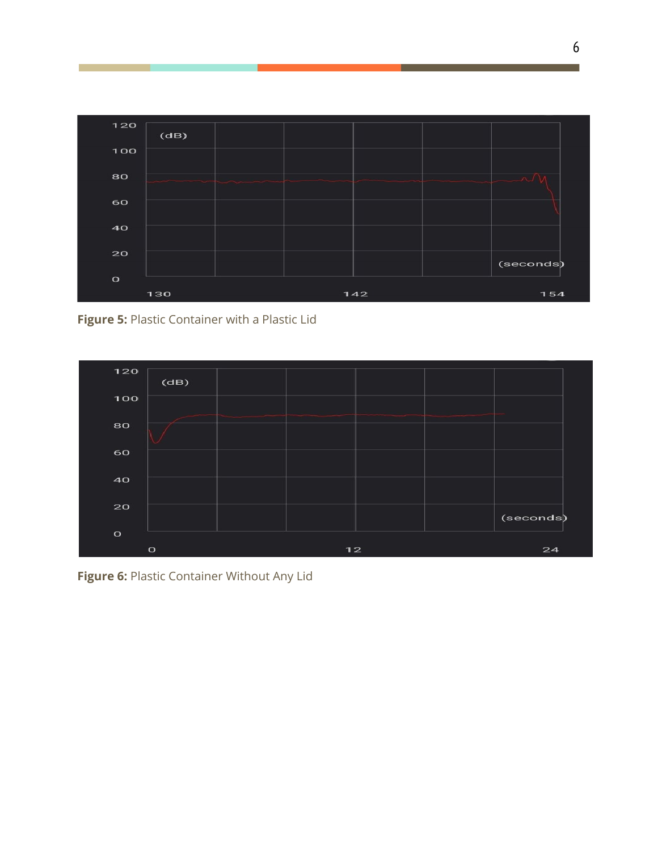

**Figure 5:** Plastic Container with a Plastic Lid



**Figure 6:** Plastic Container Without Any Lid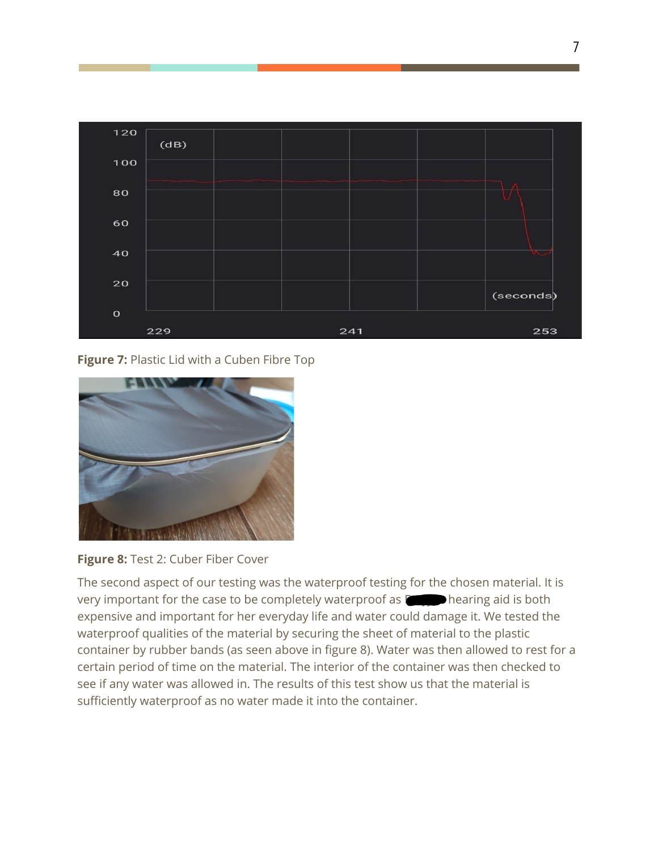

**Figure 7:** Plastic Lid with a Cuben Fibre Top





The second aspect of our testing was the waterproof testing for the chosen material. It is very important for the case to be completely waterproof as  $\Gamma$  hearing aid is both expensive and important for her everyday life and water could damage it. We tested the waterproof qualities of the material by securing the sheet of material to the plastic container by rubber bands (as seen above in figure 8). Water was then allowed to rest for a certain period of time on the material. The interior of the container was then checked to see if any water was allowed in. The results of this test show us that the material is sufficiently waterproof as no water made it into the container.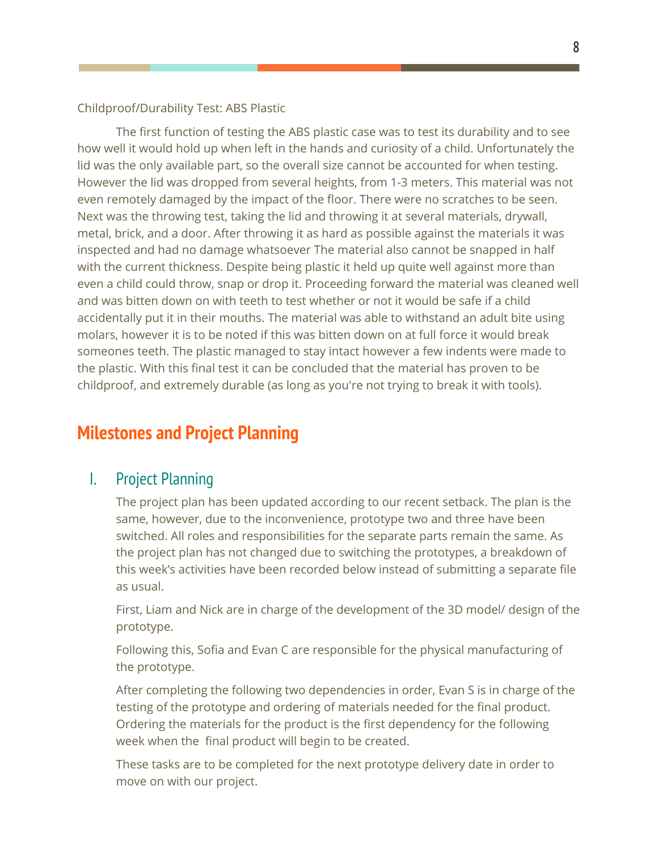#### Childproof/Durability Test: ABS Plastic

The first function of testing the ABS plastic case was to test its durability and to see how well it would hold up when left in the hands and curiosity of a child. Unfortunately the lid was the only available part, so the overall size cannot be accounted for when testing. However the lid was dropped from several heights, from 1-3 meters. This material was not even remotely damaged by the impact of the floor. There were no scratches to be seen. Next was the throwing test, taking the lid and throwing it at several materials, drywall, metal, brick, and a door. After throwing it as hard as possible against the materials it was inspected and had no damage whatsoever The material also cannot be snapped in half with the current thickness. Despite being plastic it held up quite well against more than even a child could throw, snap or drop it. Proceeding forward the material was cleaned well and was bitten down on with teeth to test whether or not it would be safe if a child accidentally put it in their mouths. The material was able to withstand an adult bite using molars, however it is to be noted if this was bitten down on at full force it would break someones teeth. The plastic managed to stay intact however a few indents were made to the plastic. With this final test it can be concluded that the material has proven to be childproof, and extremely durable (as long as you're not trying to break it with tools).

## **Milestones and Project Planning**

#### I. Project Planning

The project plan has been updated according to our recent setback. The plan is the same, however, due to the inconvenience, prototype two and three have been switched. All roles and responsibilities for the separate parts remain the same. As the project plan has not changed due to switching the prototypes, a breakdown of this week's activities have been recorded below instead of submitting a separate file as usual.

First, Liam and Nick are in charge of the development of the 3D model/ design of the prototype.

Following this, Sofia and Evan C are responsible for the physical manufacturing of the prototype.

After completing the following two dependencies in order, Evan S is in charge of the testing of the prototype and ordering of materials needed for the final product. Ordering the materials for the product is the first dependency for the following week when the final product will begin to be created.

These tasks are to be completed for the next prototype delivery date in order to move on with our project.